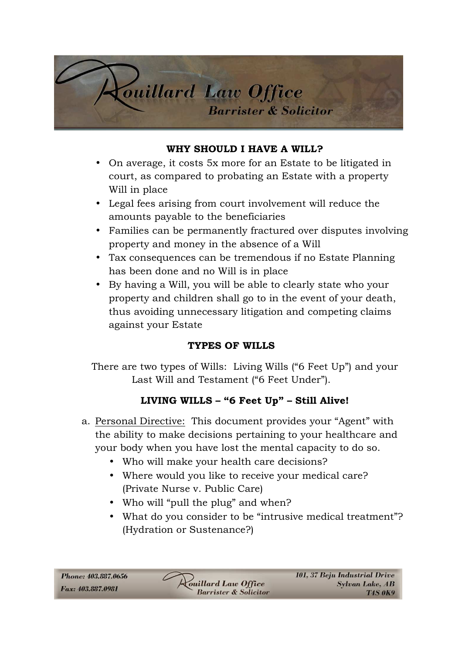

#### **WHY SHOULD I HAVE A WILL?**

- On average, it costs 5x more for an Estate to be litigated in court, as compared to probating an Estate with a property Will in place
- Legal fees arising from court involvement will reduce the amounts payable to the beneficiaries
- Families can be permanently fractured over disputes involving property and money in the absence of a Will
- Tax consequences can be tremendous if no Estate Planning has been done and no Will is in place
- By having a Will, you will be able to clearly state who your property and children shall go to in the event of your death, thus avoiding unnecessary litigation and competing claims against your Estate

### **TYPES OF WILLS**

There are two types of Wills: Living Wills ("6 Feet Up") and your Last Will and Testament ("6 Feet Under").

### **LIVING WILLS – "6 Feet Up" – Still Alive!**

- a. Personal Directive: This document provides your "Agent" with the ability to make decisions pertaining to your healthcare and your body when you have lost the mental capacity to do so.
	- Who will make your health care decisions?
	- Where would you like to receive your medical care? (Private Nurse v. Public Care)
	- Who will "pull the plug" and when?
	- What do you consider to be "intrusive medical treatment"? (Hydration or Sustenance?)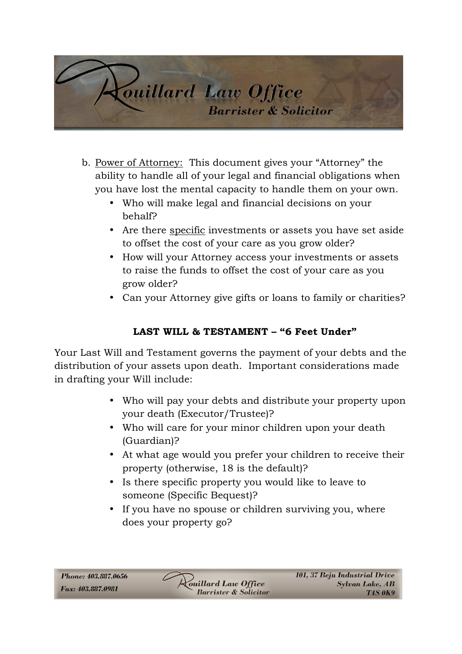

- b. Power of Attorney: This document gives your "Attorney" the ability to handle all of your legal and financial obligations when you have lost the mental capacity to handle them on your own.
	- Who will make legal and financial decisions on your behalf?
	- Are there specific investments or assets you have set aside to offset the cost of your care as you grow older?
	- How will your Attorney access your investments or assets to raise the funds to offset the cost of your care as you grow older?
	- Can your Attorney give gifts or loans to family or charities?

## **LAST WILL & TESTAMENT – "6 Feet Under"**

Your Last Will and Testament governs the payment of your debts and the distribution of your assets upon death. Important considerations made in drafting your Will include:

- Who will pay your debts and distribute your property upon your death (Executor/Trustee)?
- Who will care for your minor children upon your death (Guardian)?
- At what age would you prefer your children to receive their property (otherwise, 18 is the default)?
- Is there specific property you would like to leave to someone (Specific Bequest)?
- If you have no spouse or children surviving you, where does your property go?